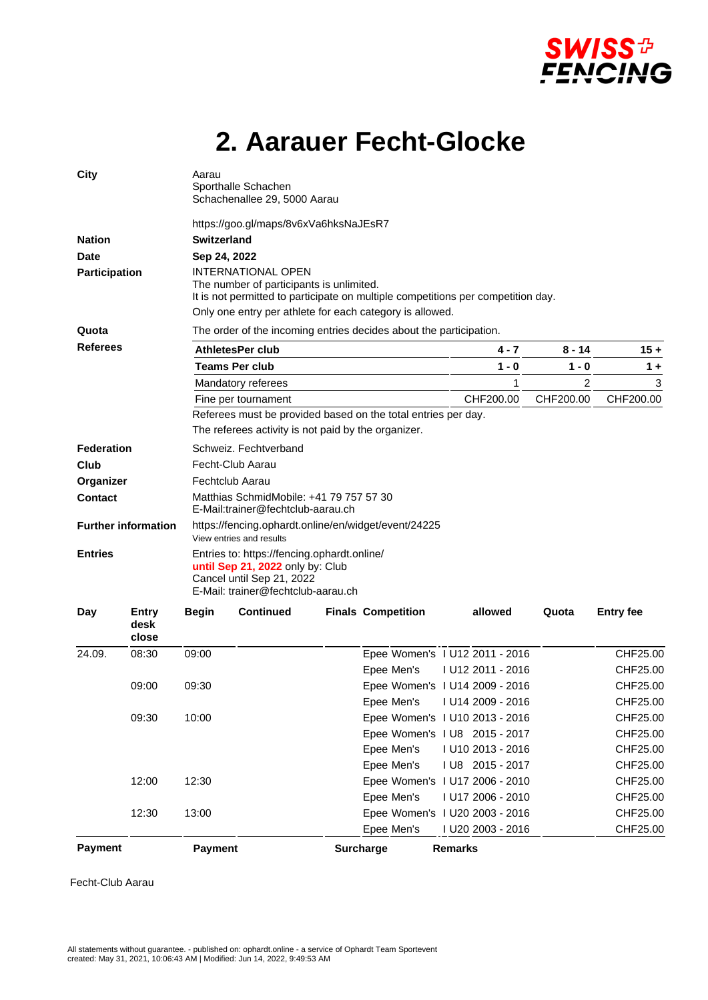

## **2. Aarauer Fecht-Glocke**

| <b>City</b>                   |                        | Aarau<br>Sporthalle Schachen<br>Schachenallee 29, 5000 Aarau                                                                                                                                                          |                  |  |                                |                |                   |                |                  |  |
|-------------------------------|------------------------|-----------------------------------------------------------------------------------------------------------------------------------------------------------------------------------------------------------------------|------------------|--|--------------------------------|----------------|-------------------|----------------|------------------|--|
|                               |                        | https://goo.gl/maps/8v6xVa6hksNaJEsR7                                                                                                                                                                                 |                  |  |                                |                |                   |                |                  |  |
| <b>Nation</b>                 |                        | Switzerland                                                                                                                                                                                                           |                  |  |                                |                |                   |                |                  |  |
| <b>Date</b>                   |                        | Sep 24, 2022                                                                                                                                                                                                          |                  |  |                                |                |                   |                |                  |  |
| <b>Participation</b><br>Quota |                        | <b>INTERNATIONAL OPEN</b><br>The number of participants is unlimited.<br>It is not permitted to participate on multiple competitions per competition day.<br>Only one entry per athlete for each category is allowed. |                  |  |                                |                |                   |                |                  |  |
|                               |                        | The order of the incoming entries decides about the participation.                                                                                                                                                    |                  |  |                                |                |                   |                |                  |  |
| <b>Referees</b>               |                        | <b>AthletesPer club</b>                                                                                                                                                                                               |                  |  |                                |                | 4 - 7             | 8 - 14         | $15 +$           |  |
|                               |                        | <b>Teams Per club</b>                                                                                                                                                                                                 |                  |  |                                |                | $1 - 0$           | 1 - 0          | $1 +$            |  |
|                               |                        | Mandatory referees                                                                                                                                                                                                    |                  |  |                                |                | 1                 | $\overline{2}$ | 3                |  |
|                               |                        | CHF200.00<br>Fine per tournament                                                                                                                                                                                      |                  |  |                                |                |                   | CHF200.00      | CHF200.00        |  |
|                               |                        | Referees must be provided based on the total entries per day.<br>The referees activity is not paid by the organizer.                                                                                                  |                  |  |                                |                |                   |                |                  |  |
| Federation                    |                        | Schweiz. Fechtverband                                                                                                                                                                                                 |                  |  |                                |                |                   |                |                  |  |
| Club                          |                        | Fecht-Club Aarau                                                                                                                                                                                                      |                  |  |                                |                |                   |                |                  |  |
| Organizer                     |                        | Fechtclub Aarau                                                                                                                                                                                                       |                  |  |                                |                |                   |                |                  |  |
| <b>Contact</b>                |                        | Matthias SchmidMobile: +41 79 757 57 30<br>E-Mail:trainer@fechtclub-aarau.ch                                                                                                                                          |                  |  |                                |                |                   |                |                  |  |
| <b>Further information</b>    |                        | https://fencing.ophardt.online/en/widget/event/24225<br>View entries and results                                                                                                                                      |                  |  |                                |                |                   |                |                  |  |
| <b>Entries</b>                |                        | Entries to: https://fencing.ophardt.online/<br>until Sep 21, 2022 only by: Club<br>Cancel until Sep 21, 2022<br>E-Mail: trainer@fechtclub-aarau.ch                                                                    |                  |  |                                |                |                   |                |                  |  |
| Day                           | Entry<br>desk<br>close | <b>Begin</b>                                                                                                                                                                                                          | <b>Continued</b> |  | <b>Finals Competition</b>      |                | allowed           | Quota          | <b>Entry fee</b> |  |
| 24.09.                        | 08:30                  | 09:00                                                                                                                                                                                                                 |                  |  | Epee Women's 1 U12 2011 - 2016 |                |                   |                | CHF25.00         |  |
|                               |                        |                                                                                                                                                                                                                       |                  |  | Epee Men's                     |                | I U12 2011 - 2016 |                | CHF25.00         |  |
|                               | 09:00                  | 09:30                                                                                                                                                                                                                 |                  |  | Epee Women's 1 U14 2009 - 2016 |                |                   |                | CHF25.00         |  |
|                               |                        |                                                                                                                                                                                                                       |                  |  | Epee Men's                     |                | I U14 2009 - 2016 |                | CHF25.00         |  |
|                               | 09:30                  | 10:00                                                                                                                                                                                                                 |                  |  | Epee Women's 1 U10 2013 - 2016 |                |                   |                | CHF25.00         |  |
|                               |                        |                                                                                                                                                                                                                       |                  |  | Epee Women's 1 U8 2015 - 2017  |                |                   |                | CHF25.00         |  |
|                               |                        |                                                                                                                                                                                                                       |                  |  | Epee Men's                     |                | I U10 2013 - 2016 |                | CHF25.00         |  |
|                               |                        |                                                                                                                                                                                                                       |                  |  | Epee Men's                     |                | I U8 2015 - 2017  |                | CHF25.00         |  |
|                               | 12:00                  | 12:30                                                                                                                                                                                                                 |                  |  | Epee Women's 1 U17 2006 - 2010 |                |                   |                | CHF25.00         |  |
|                               |                        |                                                                                                                                                                                                                       |                  |  | Epee Men's                     |                | I U17 2006 - 2010 |                | CHF25.00         |  |
|                               | 12:30                  | 13:00                                                                                                                                                                                                                 |                  |  | Epee Women's 1 U20 2003 - 2016 |                |                   |                | CHF25.00         |  |
|                               |                        |                                                                                                                                                                                                                       |                  |  | Epee Men's                     |                | I U20 2003 - 2016 |                | CHF25.00         |  |
| <b>Payment</b>                |                        | Payment                                                                                                                                                                                                               |                  |  | <b>Surcharge</b>               | <b>Remarks</b> |                   |                |                  |  |

Fecht-Club Aarau